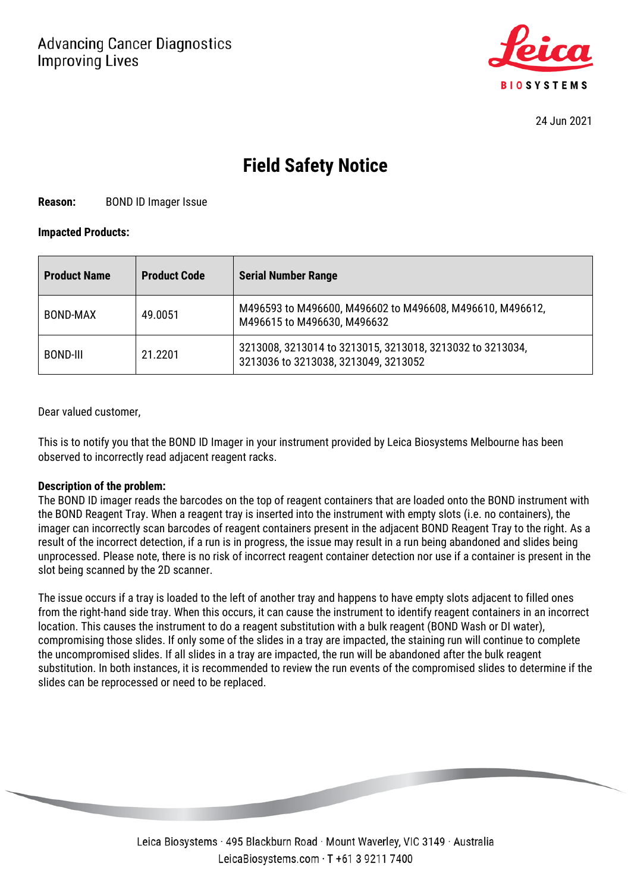

24 Jun 2021

# **Field Safety Notice**

**Reason:** BOND ID Imager Issue

### **Impacted Products:**

| <b>Product Name</b> | <b>Product Code</b> | <b>Serial Number Range</b>                                                                        |
|---------------------|---------------------|---------------------------------------------------------------------------------------------------|
| BOND-MAX            | 49.0051             | M496593 to M496600, M496602 to M496608, M496610, M496612,<br>M496615 to M496630, M496632          |
| BOND-III            | 21.2201             | 3213008, 3213014 to 3213015, 3213018, 3213032 to 3213034,<br>3213036 to 3213038, 3213049, 3213052 |

Dear valued customer,

This is to notify you that the BOND ID Imager in your instrument provided by Leica Biosystems Melbourne has been observed to incorrectly read adjacent reagent racks.

### **Description of the problem:**

The BOND ID imager reads the barcodes on the top of reagent containers that are loaded onto the BOND instrument with the BOND Reagent Tray. When a reagent tray is inserted into the instrument with empty slots (i.e. no containers), the imager can incorrectly scan barcodes of reagent containers present in the adjacent BOND Reagent Tray to the right. As a result of the incorrect detection, if a run is in progress, the issue may result in a run being abandoned and slides being unprocessed. Please note, there is no risk of incorrect reagent container detection nor use if a container is present in the slot being scanned by the 2D scanner.

The issue occurs if a tray is loaded to the left of another tray and happens to have empty slots adjacent to filled ones from the right-hand side tray. When this occurs, it can cause the instrument to identify reagent containers in an incorrect location. This causes the instrument to do a reagent substitution with a bulk reagent (BOND Wash or DI water), compromising those slides. If only some of the slides in a tray are impacted, the staining run will continue to complete the uncompromised slides. If all slides in a tray are impacted, the run will be abandoned after the bulk reagent substitution. In both instances, it is recommended to review the run events of the compromised slides to determine if the slides can be reprocessed or need to be replaced.

> Leica Biosystems · 495 Blackburn Road · Mount Waverley, VIC 3149 · Australia LeicaBiosystems.com · T +61 3 9211 7400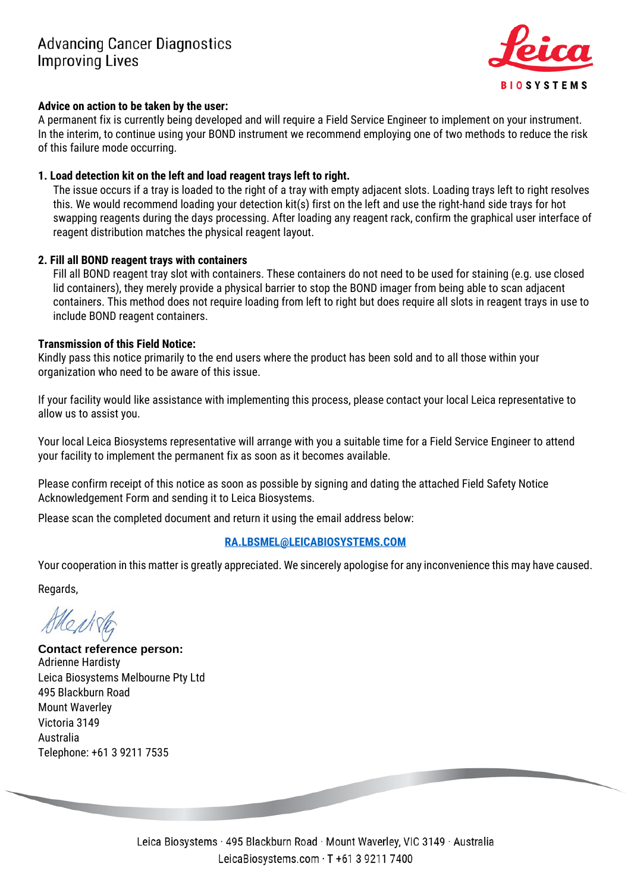

### **Advice on action to be taken by the user:**

A permanent fix is currently being developed and will require a Field Service Engineer to implement on your instrument. In the interim, to continue using your BOND instrument we recommend employing one of two methods to reduce the risk of this failure mode occurring.

## **1. Load detection kit on the left and load reagent trays left to right.**

The issue occurs if a tray is loaded to the right of a tray with empty adjacent slots. Loading trays left to right resolves this. We would recommend loading your detection kit(s) first on the left and use the right-hand side trays for hot swapping reagents during the days processing. After loading any reagent rack, confirm the graphical user interface of reagent distribution matches the physical reagent layout.

# **2. Fill all BOND reagent trays with containers**

Fill all BOND reagent tray slot with containers. These containers do not need to be used for staining (e.g. use closed lid containers), they merely provide a physical barrier to stop the BOND imager from being able to scan adjacent containers. This method does not require loading from left to right but does require all slots in reagent trays in use to include BOND reagent containers.

### **Transmission of this Field Notice:**

Kindly pass this notice primarily to the end users where the product has been sold and to all those within your organization who need to be aware of this issue.

If your facility would like assistance with implementing this process, please contact your local Leica representative to allow us to assist you.

Your local Leica Biosystems representative will arrange with you a suitable time for a Field Service Engineer to attend your facility to implement the permanent fix as soon as it becomes available.

Please confirm receipt of this notice as soon as possible by signing and dating the attached Field Safety Notice Acknowledgement Form and sending it to Leica Biosystems.

Please scan the completed document and return it using the email address below:

# **[RA.LBSMEL@LEICABIOSYSTEMS.COM](mailto:RA.LBSMEL@LEICABIOSYSTEMS.COM)**

Your cooperation in this matter is greatly appreciated. We sincerely apologise for any inconvenience this may have caused.

Regards,

**Contact reference person:** Adrienne Hardisty Leica Biosystems Melbourne Pty Ltd 495 Blackburn Road Mount Waverley Victoria 3149 Australia Telephone: +61 3 9211 7535

> Leica Biosystems · 495 Blackburn Road · Mount Waverley, VIC 3149 · Australia LeicaBiosystems.com · T +61 3 9211 7400